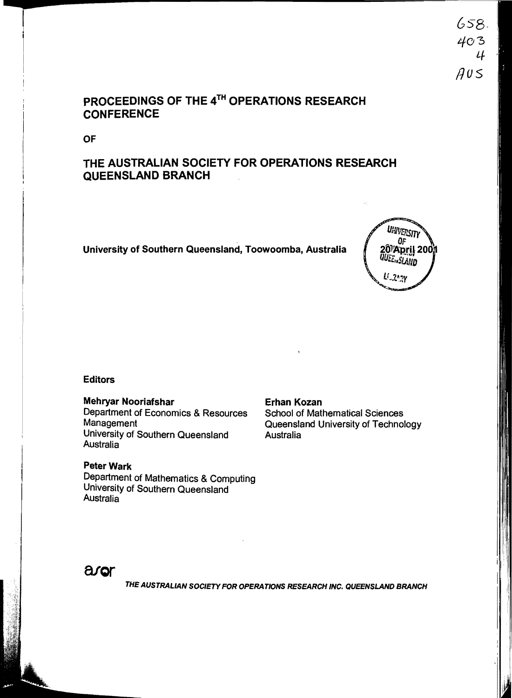# PROCEEDINGS OF THE 4TH OPERATIONS RESEARCH **CONFERENCE**

OF

# THE AUSTRALIAN SOCIETY FOR OPERATIONS RESEARCH QUEENSLAND BRANCH

University of Southern Queensland, Toowoomba, Australia



#### Editors

Mehryar Nooriafshar<br>
Department of Economics & Resources<br>
School of Mathematical Sciences Department of Economics & Resources<br>Management University of Southern Queensland Australia

## **Peter Wark**

Department of Mathematics & Computing University of Southern Queensland Australia

Queensland University of Technology<br>Australia



THE AUSTRALIAN SOCIETY FOR OPERATIONS RESEARCH INC. QUEENSLAND BRANCH

658· 403 4  $AUS$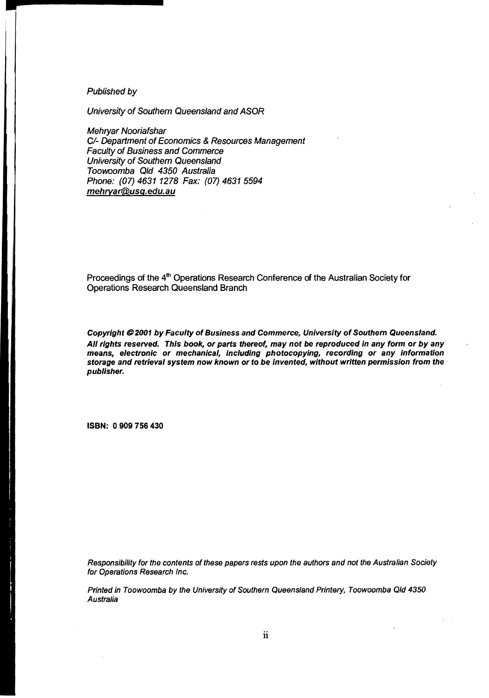#### Published by

~

University of Southern Queensland and ASOR

Mehryar Nooriafshar C/- Department of Economics & Resources Management Faculty of Business and Commerce University of Southern Queensland Toowoomba Qld 4350 Australia Phone: (07) 4631 1278 Fax: (07) 4631 5594 mehryar@usq.edu.au

Proceedings of the 4<sup>th</sup> Operations Research Conference of the Australian Society for Operations Research Queensland Branch

Copyright @ 2001 by Faculty of Business and Commerce, University of Southern Queensland. All rights reserved. This book, or parts thereof, may not be reproduced in any form or by any means, electronic or mechanical, including photocopying, recording or any information storage and retrieval system now known or to be invented, without written permission from the publisher.

ISBN: 0 909 756 430

Responsibility for the contents of these papers rests upon the authors and not the Australian Society for Operations Research Inc.

Printed in Toowoomba by the University of Southern Queensland Printery, Toowoomba Qld 4350 Australia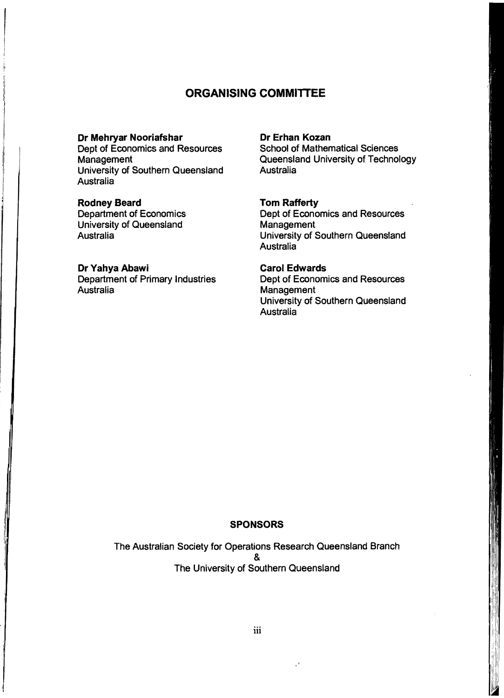## **ORGANISING COMMllTEE**

## **Dr Mehryar Nooriafshar**

Dept of Economics and Resources **Management** University of Southern Queensland Australia

#### **Rodney Beard**

Department of Economics University of Queensland Australia

#### **Dr Yahya Abawi**

ji~,

 $\ddot{\phantom{1}}$ 

Department of Primary Industries **Australia** 

#### **Dr Erhan Kozan**

School of Mathematical Sciences Queensland University of Technology **Australia** 

#### **Tom Rafferty**

Dept of Economics and Resources **Management** University of Southern Queensland Australia

### **Carol Edwards**

Dept of Economics and Resources **Management** University of Southern Queensland Australia

#### **SPONSORS**

The Australian Society for Operations Research Queensland Branch & The University of Southern Queensland

.'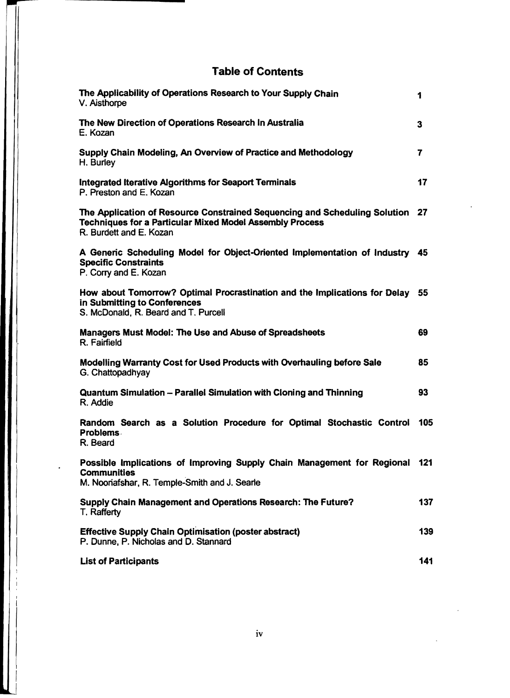# Table of Contents

| The Applicability of Operations Research to Your Supply Chain<br>V. Aisthorpe                                                                                               | 1   |
|-----------------------------------------------------------------------------------------------------------------------------------------------------------------------------|-----|
| The New Direction of Operations Research In Australia<br>E. Kozan                                                                                                           | 3   |
| Supply Chain Modeling, An Overview of Practice and Methodology<br>H. Burley                                                                                                 | 7   |
| <b>Integrated Iterative Algorithms for Seaport Terminals</b><br>P. Preston and E. Kozan                                                                                     | 17  |
| The Application of Resource Constrained Sequencing and Scheduling Solution 27<br><b>Techniques for a Particular Mixed Model Assembly Process</b><br>R. Burdett and E. Kozan |     |
| A Generic Scheduling Model for Object-Oriented Implementation of Industry 45<br><b>Specific Constraints</b><br>P. Corry and E. Kozan                                        |     |
| How about Tomorrow? Optimal Procrastination and the Implications for Delay 55<br>in Submitting to Conferences<br>S. McDonald, R. Beard and T. Purcell                       |     |
| Managers Must Model: The Use and Abuse of Spreadsheets<br>R. Fairfield                                                                                                      | 69  |
| Modelling Warranty Cost for Used Products with Overhauling before Sale<br>G. Chattopadhyay                                                                                  | 85  |
| Quantum Simulation - Parallel Simulation with Cloning and Thinning<br>R. Addie                                                                                              | 93  |
| Random Search as a Solution Procedure for Optimal Stochastic Control<br>Problems.<br>R. Beard                                                                               | 105 |
| Possible Implications of Improving Supply Chain Management for Regional 121<br><b>Communities</b><br>M. Nooriafshar, R. Temple-Smith and J. Searle                          |     |
| Supply Chain Management and Operations Research: The Future?<br>T. Rafferty                                                                                                 | 137 |
| <b>Effective Supply Chain Optimisation (poster abstract)</b><br>P. Dunne, P. Nicholas and D. Stannard                                                                       | 139 |
| <b>List of Participants</b>                                                                                                                                                 | 141 |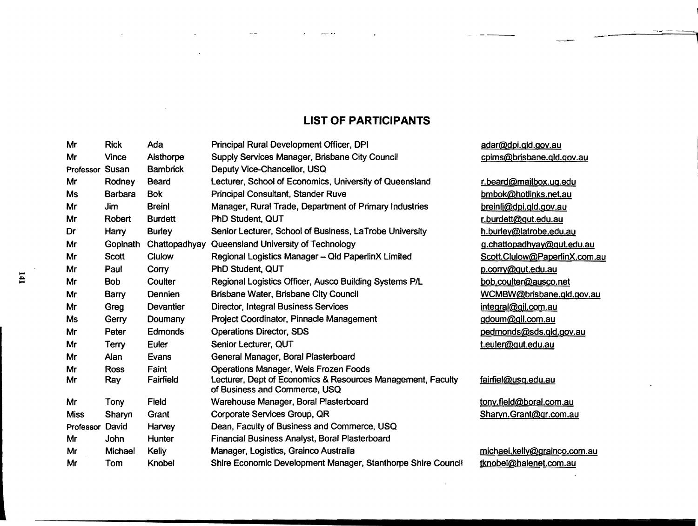## **LIST OF PARTICIPANTS**

|    | Mr              | <b>Rick</b>    | Ada              | Principal Rural Development Officer, DPI                                                     | adar@dpi.gld.gov.a   |
|----|-----------------|----------------|------------------|----------------------------------------------------------------------------------------------|----------------------|
|    | Mr              | <b>Vince</b>   | Aisthorpe        | Supply Services Manager, Brisbane City Council                                               | cpims@brisbane.qld   |
|    | Professor       | Susan          | <b>Bambrick</b>  | Deputy Vice-Chancellor, USQ                                                                  |                      |
|    | Mr              | Rodney         | <b>Beard</b>     | Lecturer, School of Economics, University of Queensland                                      | r.beard@mailbox.uo   |
|    | <b>Ms</b>       | <b>Barbara</b> | <b>Bok</b>       | <b>Principal Consultant, Stander Ruve</b>                                                    | bmbok@hotlinks.ne    |
|    | Mr              | Jim            | <b>Breinl</b>    | Manager, Rural Trade, Department of Primary Industries                                       | breinli@dpi.gld.gov. |
|    | Mr              | Robert         | <b>Burdett</b>   | PhD Student, QUT                                                                             | r.burdett@gut.edu.a  |
| IJ | Dr              | Harry          | <b>Burley</b>    | Senior Lecturer, School of Business, LaTrobe University                                      | h.burley@latrobe.ed  |
|    | Mr              | Gopinath       | Chattopadhyay    | Queensland University of Technology                                                          | g.chattopadhyay@o    |
|    | Mr              | <b>Scott</b>   | Clulow           | Regional Logistics Manager - Qld PaperlinX Limited                                           | Scott.Clulow@Pape    |
|    | Mr              | Paul           | Corry            | PhD Student, QUT                                                                             | p.corry@qut.edu.au   |
|    | Mr              | <b>Bob</b>     | Coulter          | Regional Logistics Officer, Ausco Building Systems P/L                                       | bob.coulter@ausco.   |
|    | Mr              | Barry          | Dennien          | Brisbane Water, Brisbane City Council                                                        | WCMBW@brisbane       |
|    | Mr              | Greg           | <b>Devantier</b> | <b>Director, Integral Business Services</b>                                                  | integral@gil.com.au  |
|    | <b>Ms</b>       | Gerry          | Doumany          | Project Coordinator, Pinnacle Management                                                     | gdoum@gil.com.au     |
|    | Mr              | Peter          | Edmonds          | <b>Operations Director, SDS</b>                                                              | pedmonds@sds.gld     |
|    | Mr              | Terry          | Euler            | Senior Lecturer, QUT                                                                         | t.euler@qut.edu.au   |
|    | Mr              | Alan           | Evans            | General Manager, Boral Plasterboard                                                          |                      |
|    | Mr              | <b>Ross</b>    | Faint            | Operations Manager, Weis Frozen Foods                                                        |                      |
|    | Mr              | <b>Ray</b>     | Fairfield        | Lecturer, Dept of Economics & Resources Management, Faculty<br>of Business and Commerce, USQ | fairfiel@usq.edu.au  |
|    | Mr              | Tony           | Field            | Warehouse Manager, Boral Plasterboard                                                        | tony.field@boral.cor |
|    | <b>Miss</b>     | Sharyn         | Grant            | Corporate Services Group, QR                                                                 | Sharyn.Grant@gr.co   |
|    | Professor David |                | Harvey           | Dean, Faculty of Business and Commerce, USQ                                                  |                      |
|    | Mr              | John           | Hunter           | Financial Business Analyst, Boral Plasterboard                                               |                      |
|    | Mr              | Michael        | Kelly            | Manager, Logistics, Grainco Australia                                                        | michael.kelly@grain  |
|    | Mr              | Tom            | Knobel           | Shire Economic Development Manager, Stanthorpe Shire Council                                 | tknobel@halenet.co   |

dpi.qld.gov.au  $@$ brisbane.qld.gov.au

Mar Rodu Bearailbox.ug.edu @hotlinks.net.au  $@$ dpi.gld.gov.au ett@gut.edu.au v@latrobe.edu.au mod Gopadhyay @qut.edu.au Slulow@PaperlinX.com.au ulter@ausco.net W@brisbane.qld.gov.au l@gil.com.au *<u>@gil.com.au</u>* nds@sds.qld.gov.au

#### <u>ausq.edu.au</u>

Mr Toporal Com.au Grant@gr.com.au

l.kelly@grainco.com.au **Manuel Shire Economic Development Connect**